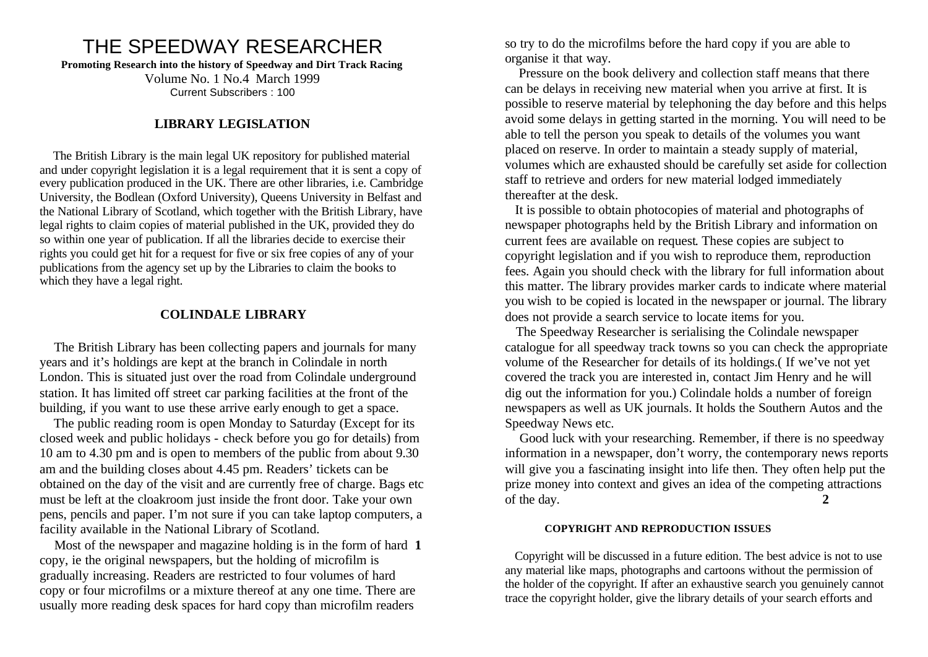# THE SPEEDWAY RESEARCHER

**Promoting Research into the history of Speedway and Dirt Track Racing**

Volume No. 1 No.4 March 1999 Current Subscribers : 100

# **LIBRARY LEGISLATION**

 The British Library is the main legal UK repository for published material and under copyright legislation it is a legal requirement that it is sent a copy of every publication produced in the UK. There are other libraries, i.e. Cambridge University, the Bodlean (Oxford University), Queens University in Belfast and the National Library of Scotland, which together with the British Library, have legal rights to claim copies of material published in the UK, provided they do so within one year of publication. If all the libraries decide to exercise their rights you could get hit for a request for five or six free copies of any of your publications from the agency set up by the Libraries to claim the books to which they have a legal right.

# **COLINDALE LIBRARY**

 The British Library has been collecting papers and journals for many years and it's holdings are kept at the branch in Colindale in north London. This is situated just over the road from Colindale underground station. It has limited off street car parking facilities at the front of the building, if you want to use these arrive early enough to get a space.

 The public reading room is open Monday to Saturday (Except for its closed week and public holidays - check before you go for details) from 10 am to 4.30 pm and is open to members of the public from about 9.30 am and the building closes about 4.45 pm. Readers' tickets can be obtained on the day of the visit and are currently free of charge. Bags etc must be left at the cloakroom just inside the front door. Take your own pens, pencils and paper. I'm not sure if you can take laptop computers, a facility available in the National Library of Scotland.

 Most of the newspaper and magazine holding is in the form of hard **1**  copy, ie the original newspapers, but the holding of microfilm is gradually increasing. Readers are restricted to four volumes of hard copy or four microfilms or a mixture thereof at any one time. There are usually more reading desk spaces for hard copy than microfilm readers

so try to do the microfilms before the hard copy if you are able to organise it that way.

 Pressure on the book delivery and collection staff means that there can be delays in receiving new material when you arrive at first. It is possible to reserve material by telephoning the day before and this helps avoid some delays in getting started in the morning. You will need to be able to tell the person you speak to details of the volumes you want placed on reserve. In order to maintain a steady supply of material, volumes which are exhausted should be carefully set aside for collection staff to retrieve and orders for new material lodged immediately thereafter at the desk.

 It is possible to obtain photocopies of material and photographs of newspaper photographs held by the British Library and information on current fees are available on request. These copies are subject to copyright legislation and if you wish to reproduce them, reproduction fees. Again you should check with the library for full information about this matter. The library provides marker cards to indicate where material you wish to be copied is located in the newspaper or journal. The library does not provide a search service to locate items for you.

 The Speedway Researcher is serialising the Colindale newspaper catalogue for all speedway track towns so you can check the appropriate volume of the Researcher for details of its holdings.( If we've not yet covered the track you are interested in, contact Jim Henry and he will dig out the information for you.) Colindale holds a number of foreign newspapers as well as UK journals. It holds the Southern Autos and the Speedway News etc.

 Good luck with your researching. Remember, if there is no speedway information in a newspaper, don't worry, the contemporary news reports will give you a fascinating insight into life then. They often help put the prize money into context and gives an idea of the competing attractions of the day. **2**

### **COPYRIGHT AND REPRODUCTION ISSUES**

 Copyright will be discussed in a future edition. The best advice is not to use any material like maps, photographs and cartoons without the permission of the holder of the copyright. If after an exhaustive search you genuinely cannot trace the copyright holder, give the library details of your search efforts and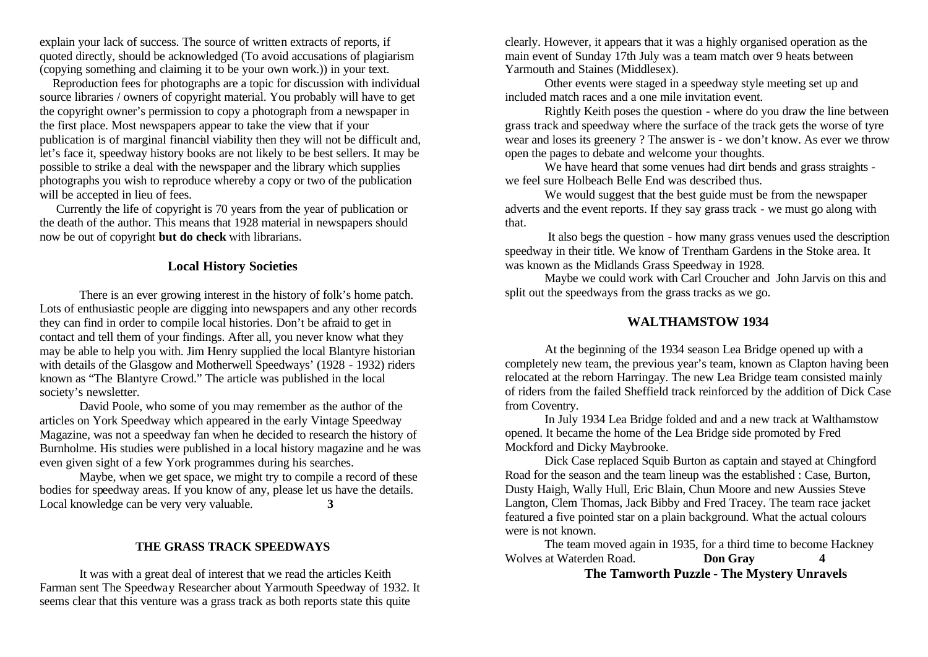explain your lack of success. The source of written extracts of reports, if quoted directly, should be acknowledged (To avoid accusations of plagiarism (copying something and claiming it to be your own work.)) in your text.

 Reproduction fees for photographs are a topic for discussion with individual source libraries / owners of copyright material. You probably will have to get the copyright owner's permission to copy a photograph from a newspaper in the first place. Most newspapers appear to take the view that if your publication is of marginal financial viability then they will not be difficult and, let's face it, speedway history books are not likely to be best sellers. It may be possible to strike a deal with the newspaper and the library which supplies photographs you wish to reproduce whereby a copy or two of the publication will be accepted in lieu of fees.

 Currently the life of copyright is 70 years from the year of publication or the death of the author. This means that 1928 material in newspapers should now be out of copyright **but do check** with librarians.

### **Local History Societies**

There is an ever growing interest in the history of folk's home patch. Lots of enthusiastic people are digging into newspapers and any other records they can find in order to compile local histories. Don't be afraid to get in contact and tell them of your findings. After all, you never know what they may be able to help you with. Jim Henry supplied the local Blantyre historian with details of the Glasgow and Motherwell Speedways' (1928 - 1932) riders known as "The Blantyre Crowd." The article was published in the local society's newsletter.

David Poole, who some of you may remember as the author of the articles on York Speedway which appeared in the early Vintage Speedway Magazine, was not a speedway fan when he decided to research the history of Burnholme. His studies were published in a local history magazine and he was even given sight of a few York programmes during his searches.

Maybe, when we get space, we might try to compile a record of these bodies for speedway areas. If you know of any, please let us have the details. Local knowledge can be very very valuable. **3**

### **THE GRASS TRACK SPEEDWAYS**

It was with a great deal of interest that we read the articles Keith Farman sent The Speedway Researcher about Yarmouth Speedway of 1932. It seems clear that this venture was a grass track as both reports state this quite

clearly. However, it appears that it was a highly organised operation as the main event of Sunday 17th July was a team match over 9 heats between Yarmouth and Staines (Middlesex).

Other events were staged in a speedway style meeting set up and included match races and a one mile invitation event.

Rightly Keith poses the question - where do you draw the line between grass track and speedway where the surface of the track gets the worse of tyre wear and loses its greenery ? The answer is - we don't know. As ever we throw open the pages to debate and welcome your thoughts.

We have heard that some venues had dirt bends and grass straights we feel sure Holbeach Belle End was described thus.

We would suggest that the best guide must be from the newspaper adverts and the event reports. If they say grass track - we must go along with that.

 It also begs the question - how many grass venues used the description speedway in their title. We know of Trentham Gardens in the Stoke area. It was known as the Midlands Grass Speedway in 1928.

Maybe we could work with Carl Croucher and John Jarvis on this and split out the speedways from the grass tracks as we go.

## **WALTHAMSTOW 1934**

At the beginning of the 1934 season Lea Bridge opened up with a completely new team, the previous year's team, known as Clapton having been relocated at the reborn Harringay. The new Lea Bridge team consisted mainly of riders from the failed Sheffield track reinforced by the addition of Dick Case from Coventry.

In July 1934 Lea Bridge folded and and a new track at Walthamstow opened. It became the home of the Lea Bridge side promoted by Fred Mockford and Dicky Maybrooke.

Dick Case replaced Squib Burton as captain and stayed at Chingford Road for the season and the team lineup was the established : Case, Burton, Dusty Haigh, Wally Hull, Eric Blain, Chun Moore and new Aussies Steve Langton, Clem Thomas, Jack Bibby and Fred Tracey. The team race jacket featured a five pointed star on a plain background. What the actual colours were is not known.

The team moved again in 1935, for a third time to become Hackney Wolves at Waterden Road. **Don Gray 4**

### **The Tamworth Puzzle - The Mystery Unravels**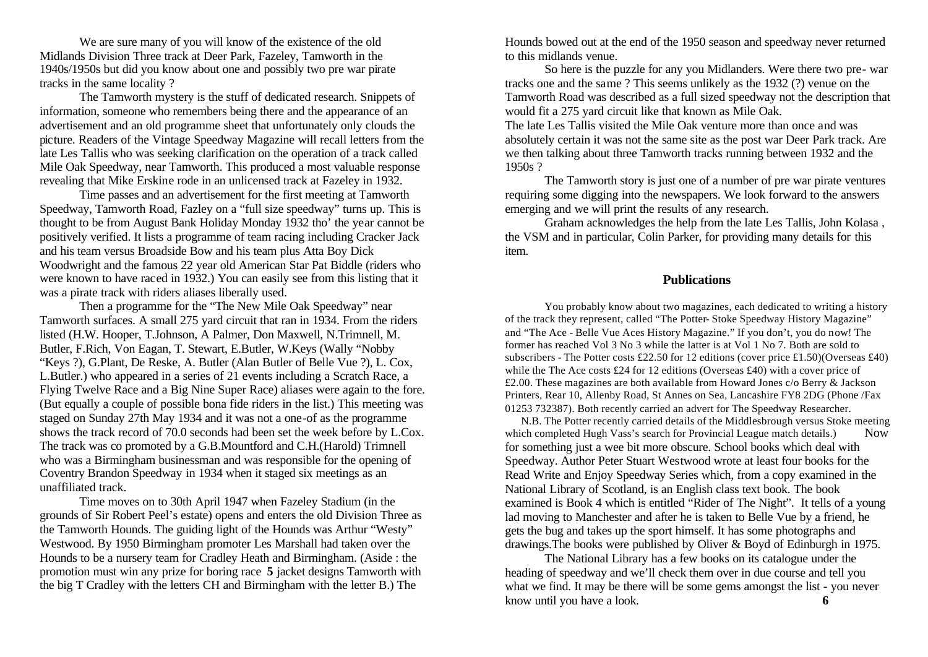We are sure many of you will know of the existence of the old Midlands Division Three track at Deer Park, Fazeley, Tamworth in the 1940s/1950s but did you know about one and possibly two pre war pirate tracks in the same locality ?

The Tamworth mystery is the stuff of dedicated research. Snippets of information, someone who remembers being there and the appearance of an advertisement and an old programme sheet that unfortunately only clouds the picture. Readers of the Vintage Speedway Magazine will recall letters from the late Les Tallis who was seeking clarification on the operation of a track called Mile Oak Speedway, near Tamworth. This produced a most valuable response revealing that Mike Erskine rode in an unlicensed track at Fazeley in 1932.

Time passes and an advertisement for the first meeting at Tamworth Speedway, Tamworth Road, Fazley on a "full size speedway" turns up. This is thought to be from August Bank Holiday Monday 1932 tho' the year cannot be positively verified. It lists a programme of team racing including Cracker Jack and his team versus Broadside Bow and his team plus Atta Boy Dick Woodwright and the famous 22 year old American Star Pat Biddle (riders who were known to have raced in 1932.) You can easily see from this listing that it was a pirate track with riders aliases liberally used.

Then a programme for the "The New Mile Oak Speedway" near Tamworth surfaces. A small 275 yard circuit that ran in 1934. From the riders listed (H.W. Hooper, T.Johnson, A Palmer, Don Maxwell, N.Trimnell, M. Butler, F.Rich, Von Eagan, T. Stewart, E.Butler, W.Keys (Wally "Nobby "Keys ?), G.Plant, De Reske, A. Butler (Alan Butler of Belle Vue ?), L. Cox, L.Butler.) who appeared in a series of 21 events including a Scratch Race, a Flying Twelve Race and a Big Nine Super Race) aliases were again to the fore. (But equally a couple of possible bona fide riders in the list.) This meeting was staged on Sunday 27th May 1934 and it was not a one-of as the programme shows the track record of 70.0 seconds had been set the week before by L.Cox. The track was co promoted by a G.B.Mountford and C.H.(Harold) Trimnell who was a Birmingham businessman and was responsible for the opening of Coventry Brandon Speedway in 1934 when it staged six meetings as an unaffiliated track.

Time moves on to 30th April 1947 when Fazeley Stadium (in the grounds of Sir Robert Peel's estate) opens and enters the old Division Three as the Tamworth Hounds. The guiding light of the Hounds was Arthur "Westy" Westwood. By 1950 Birmingham promoter Les Marshall had taken over the Hounds to be a nursery team for Cradley Heath and Birmingham. (Aside : the promotion must win any prize for boring race **5** jacket designs Tamworth with the big T Cradley with the letters CH and Birmingham with the letter B.) The

Hounds bowed out at the end of the 1950 season and speedway never returned to this midlands venue.

So here is the puzzle for any you Midlanders. Were there two pre- war tracks one and the same ? This seems unlikely as the 1932 (?) venue on the Tamworth Road was described as a full sized speedway not the description that would fit a 275 yard circuit like that known as Mile Oak.

The late Les Tallis visited the Mile Oak venture more than once and was absolutely certain it was not the same site as the post war Deer Park track. Are we then talking about three Tamworth tracks running between 1932 and the 1950s ?

The Tamworth story is just one of a number of pre war pirate ventures requiring some digging into the newspapers. We look forward to the answers emerging and we will print the results of any research.

Graham acknowledges the help from the late Les Tallis, John Kolasa , the VSM and in particular, Colin Parker, for providing many details for this item.

### **Publications**

You probably know about two magazines, each dedicated to writing a history of the track they represent, called "The Potter- Stoke Speedway History Magazine" and "The Ace - Belle Vue Aces History Magazine." If you don't, you do now! The former has reached Vol 3 No 3 while the latter is at Vol 1 No 7. Both are sold to subscribers - The Potter costs £22.50 for 12 editions (cover price £1.50)(Overseas £40) while the The Ace costs £24 for 12 editions (Overseas £40) with a cover price of £2.00. These magazines are both available from Howard Jones c/o Berry & Jackson Printers, Rear 10, Allenby Road, St Annes on Sea, Lancashire FY8 2DG (Phone /Fax 01253 732387). Both recently carried an advert for The Speedway Researcher.

 N.B. The Potter recently carried details of the Middlesbrough versus Stoke meeting which completed Hugh Vass's search for Provincial League match details.) Now for something just a wee bit more obscure. School books which deal with Speedway. Author Peter Stuart Westwood wrote at least four books for the Read Write and Enjoy Speedway Series which, from a copy examined in the National Library of Scotland, is an English class text book. The book examined is Book 4 which is entitled "Rider of The Night". It tells of a young lad moving to Manchester and after he is taken to Belle Vue by a friend, he gets the bug and takes up the sport himself. It has some photographs and drawings.The books were published by Oliver & Boyd of Edinburgh in 1975.

The National Library has a few books on its catalogue under the heading of speedway and we'll check them over in due course and tell you what we find. It may be there will be some gems amongst the list - you never know until you have a look. **6**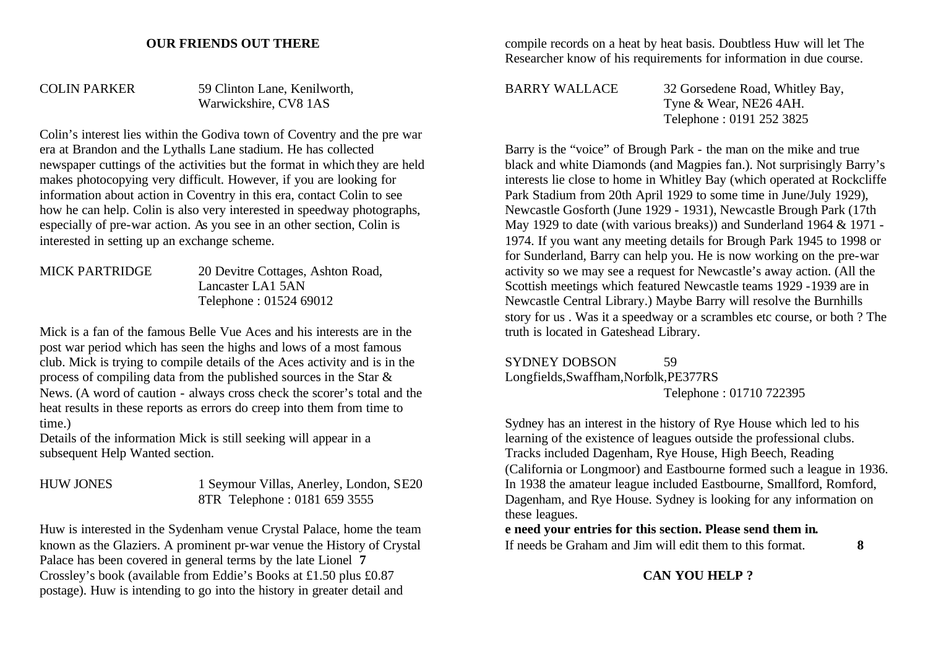### **OUR FRIENDS OUT THERE**

COLIN PARKER 59 Clinton Lane, Kenilworth, Warwickshire, CV8 1AS

Colin's interest lies within the Godiva town of Coventry and the pre war era at Brandon and the Lythalls Lane stadium. He has collected newspaper cuttings of the activities but the format in which they are held makes photocopying very difficult. However, if you are looking for information about action in Coventry in this era, contact Colin to see how he can help. Colin is also very interested in speedway photographs, especially of pre-war action. As you see in an other section, Colin is interested in setting up an exchange scheme.

MICK PARTRIDGE 20 Devitre Cottages, Ashton Road, Lancaster LA1 5AN Telephone : 01524 69012

Mick is a fan of the famous Belle Vue Aces and his interests are in the post war period which has seen the highs and lows of a most famous club. Mick is trying to compile details of the Aces activity and is in the process of compiling data from the published sources in the Star & News. (A word of caution - always cross check the scorer's total and the heat results in these reports as errors do creep into them from time to time.)

Details of the information Mick is still seeking will appear in a subsequent Help Wanted section.

HUW JONES 1 Seymour Villas, Anerley, London, SE20 8TR Telephone : 0181 659 3555

Huw is interested in the Sydenham venue Crystal Palace, home the team known as the Glaziers. A prominent pr-war venue the History of Crystal Palace has been covered in general terms by the late Lionel **7**  Crossley's book (available from Eddie's Books at £1.50 plus £0.87 postage). Huw is intending to go into the history in greater detail and

compile records on a heat by heat basis. Doubtless Huw will let The Researcher know of his requirements for information in due course.

BARRY WALLACE 32 Gorsedene Road, Whitley Bay, Tyne & Wear, NE26 4AH. Telephone : 0191 252 3825

Barry is the "voice" of Brough Park - the man on the mike and true black and white Diamonds (and Magpies fan.). Not surprisingly Barry's interests lie close to home in Whitley Bay (which operated at Rockcliffe Park Stadium from 20th April 1929 to some time in June/July 1929), Newcastle Gosforth (June 1929 - 1931), Newcastle Brough Park (17th May 1929 to date (with various breaks)) and Sunderland 1964 & 1971 - 1974. If you want any meeting details for Brough Park 1945 to 1998 or for Sunderland, Barry can help you. He is now working on the pre-war activity so we may see a request for Newcastle's away action. (All the Scottish meetings which featured Newcastle teams 1929 -1939 are in Newcastle Central Library.) Maybe Barry will resolve the Burnhills story for us . Was it a speedway or a scrambles etc course, or both ? The truth is located in Gateshead Library.

SYDNEY DOBSON 59 Longfields,Swaffham,Norfolk,PE377RS Telephone : 01710 722395

Sydney has an interest in the history of Rye House which led to his learning of the existence of leagues outside the professional clubs. Tracks included Dagenham, Rye House, High Beech, Reading (California or Longmoor) and Eastbourne formed such a league in 1936. In 1938 the amateur league included Eastbourne, Smallford, Romford, Dagenham, and Rye House. Sydney is looking for any information on these leagues.

### **e need your entries for this section. Please send them in.** If needs be Graham and Jim will edit them to this format. **8**

**CAN YOU HELP ?**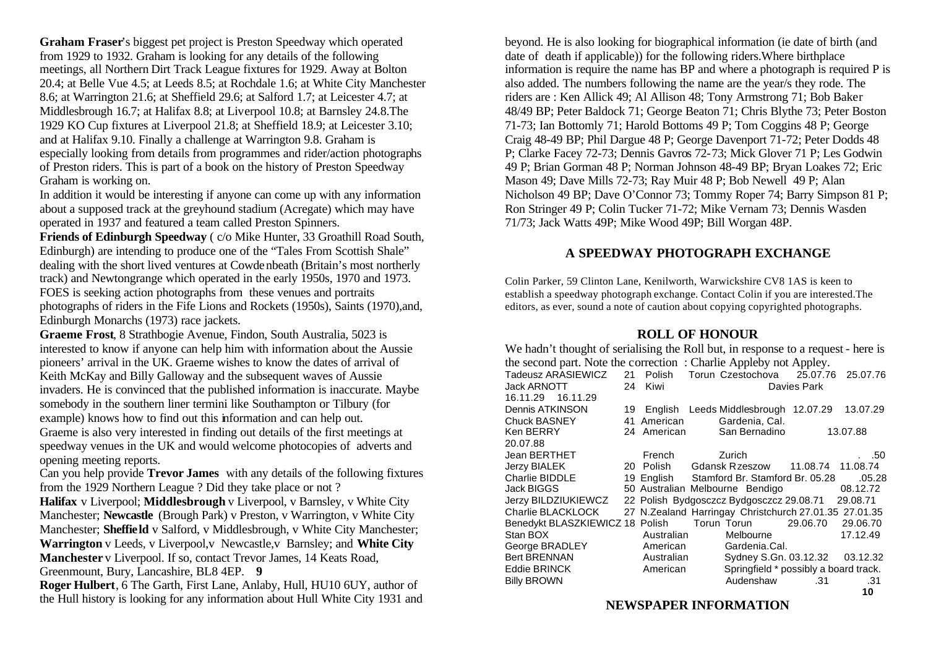**Graham Fraser**'s biggest pet project is Preston Speedway which operated from 1929 to 1932. Graham is looking for any details of the following meetings, all Northern Dirt Track League fixtures for 1929. Away at Bolton 20.4; at Belle Vue 4.5; at Leeds 8.5; at Rochdale 1.6; at White City Manchester 8.6; at Warrington 21.6; at Sheffield 29.6; at Salford 1.7; at Leicester 4.7; at Middlesbrough 16.7; at Halifax 8.8; at Liverpool 10.8; at Barnsley 24.8.The 1929 KO Cup fixtures at Liverpool 21.8; at Sheffield 18.9; at Leicester 3.10; and at Halifax 9.10. Finally a challenge at Warrington 9.8. Graham is especially looking from details from programmes and rider/action photographs of Preston riders. This is part of a book on the history of Preston Speedway Graham is working on.

In addition it would be interesting if anyone can come up with any information about a supposed track at the greyhound stadium (Acregate) which may have operated in 1937 and featured a team called Preston Spinners.

**Friends of Edinburgh Speedway** ( c/o Mike Hunter, 33 Groathill Road South, Edinburgh) are intending to produce one of the "Tales From Scottish Shale" dealing with the short lived ventures at Cowdenbeath (Britain's most northerly track) and Newtongrange which operated in the early 1950s, 1970 and 1973. FOES is seeking action photographs from these venues and portraits photographs of riders in the Fife Lions and Rockets (1950s), Saints (1970),and, Edinburgh Monarchs (1973) race jackets.

**Graeme Frost**, 8 Strathbogie Avenue, Findon, South Australia, 5023 is interested to know if anyone can help him with information about the Aussie pioneers' arrival in the UK. Graeme wishes to know the dates of arrival of Keith McKay and Billy Galloway and the subsequent waves of Aussie invaders. He is convinced that the published information is inaccurate. Maybe somebody in the southern liner termini like Southampton or Tilbury (for example) knows how to find out this information and can help out. Graeme is also very interested in finding out details of the first meetings at speedway venues in the UK and would welcome photocopies of adverts and opening meeting reports.

Can you help provide **Trevor James** with any details of the following fixtures from the 1929 Northern League ? Did they take place or not ?

**Halifax** v Liverpool; **Middlesbrough** v Liverpool, v Barnsley, v White City Manchester; **Newcastle** (Brough Park) v Preston, v Warrington, v White City Manchester; **Sheffield** v Salford, v Middlesbrough, v White City Manchester; **Warrington** v Leeds, v Liverpool,v Newcastle,v Barnsley; and **White City Manchester** v Liverpool. If so, contact Trevor James, 14 Keats Road, Greenmount, Bury, Lancashire, BL8 4EP. **9**

**Roger Hulbert**, 6 The Garth, First Lane, Anlaby, Hull, HU10 6UY, author of the Hull history is looking for any information about Hull White City 1931 and beyond. He is also looking for biographical information (ie date of birth (and date of death if applicable)) for the following riders.Where birthplace information is require the name has BP and where a photograph is required P is also added. The numbers following the name are the year/s they rode. The riders are : Ken Allick 49; Al Allison 48; Tony Armstrong 71; Bob Baker 48/49 BP; Peter Baldock 71; George Beaton 71; Chris Blythe 73; Peter Boston 71-73; Ian Bottomly 71; Harold Bottoms 49 P; Tom Coggins 48 P; George Craig 48-49 BP; Phil Dargue 48 P; George Davenport 71-72; Peter Dodds 48 P; Clarke Facey 72-73; Dennis Gavros 72-73; Mick Glover 71 P; Les Godwin 49 P; Brian Gorman 48 P; Norman Johnson 48-49 BP; Bryan Loakes 72; Eric Mason 49; Dave Mills 72-73; Ray Muir 48 P; Bob Newell 49 P; Alan Nicholson 49 BP; Dave O'Connor 73; Tommy Roper 74; Barry Simpson 81 P; Ron Stringer 49 P; Colin Tucker 71-72; Mike Vernam 73; Dennis Wasden 71/73; Jack Watts 49P; Mike Wood 49P; Bill Worgan 48P.

### **A SPEEDWAY PHOTOGRAPH EXCHANGE**

Colin Parker, 59 Clinton Lane, Kenilworth, Warwickshire CV8 1AS is keen to establish a speedway photograph exchange. Contact Colin if you are interested.The editors, as ever, sound a note of caution about copying copyrighted photographs.

### **ROLL OF HONOUR**

| We hadn't thought of serialising the Roll but, in response to a request - here is |    |             |                                                       |                                       |          |  |  |  |  |
|-----------------------------------------------------------------------------------|----|-------------|-------------------------------------------------------|---------------------------------------|----------|--|--|--|--|
| the second part. Note the correction: Charlie Appleby not Appley.                 |    |             |                                                       |                                       |          |  |  |  |  |
| Tadeusz ARASIEWICZ 21                                                             |    |             | Polish Torun Czestochova 25.07.76 25.07.76            |                                       |          |  |  |  |  |
| <b>Jack ARNOTT</b>                                                                | 24 | Kiwi        | Davies Park                                           |                                       |          |  |  |  |  |
| 16.11.29  16.11.29                                                                |    |             |                                                       |                                       |          |  |  |  |  |
| Dennis ATKINSON                                                                   | 19 |             | English Leeds Middlesbrough 12.07.29                  |                                       | 13.07.29 |  |  |  |  |
| Chuck BASNEY                                                                      |    | 41 American | Gardenia, Cal.                                        |                                       |          |  |  |  |  |
| Ken BERRY                                                                         |    | 24 American | San Bernadino                                         |                                       | 13.07.88 |  |  |  |  |
| 20.07.88                                                                          |    |             |                                                       |                                       |          |  |  |  |  |
| Jean BERTHET                                                                      |    | French      | Zurich                                                |                                       | . . 50   |  |  |  |  |
| <b>Jerzy BIALEK</b>                                                               |    | 20 Polish   | Gdansk Rzeszow 11.08.74 11.08.74                      |                                       |          |  |  |  |  |
| Charlie BIDDLE                                                                    |    |             | 19 English Stamford Br. Stamford Br. 05.28            |                                       | .05.28   |  |  |  |  |
| Jack BIGGS                                                                        |    |             | 50 Australian Melbourne Bendigo                       |                                       | 08.12.72 |  |  |  |  |
| Jerzy BILDZIUKIEWCZ                                                               |    |             | 22 Polish Bydgosczcz Bydgosczcz 29.08.71 29.08.71     |                                       |          |  |  |  |  |
| Charlie BLACKLOCK                                                                 |    |             | 27 N.Zealand Harringay Christchurch 27.01.35 27.01.35 |                                       |          |  |  |  |  |
| Benedykt BLASZKIEWICZ 18 Polish                                                   |    |             | Torun Torun                                           | 29.06.70                              | 29.06.70 |  |  |  |  |
| Stan BOX                                                                          |    | Australian  | Melbourne                                             |                                       | 17.12.49 |  |  |  |  |
| George BRADLEY                                                                    |    | American    | Gardenia.Cal.                                         |                                       |          |  |  |  |  |
| <b>Bert BRENNAN</b>                                                               |    | Australian  | Sydney S.Gn. 03.12.32                                 |                                       | 03.12.32 |  |  |  |  |
| <b>Eddie BRINCK</b>                                                               |    | American    |                                                       | Springfield * possibly a board track. |          |  |  |  |  |
| <b>Billy BROWN</b>                                                                |    |             | Audenshaw                                             | .31                                   | .31      |  |  |  |  |

# **NEWSPAPER INFORMATION**

**10**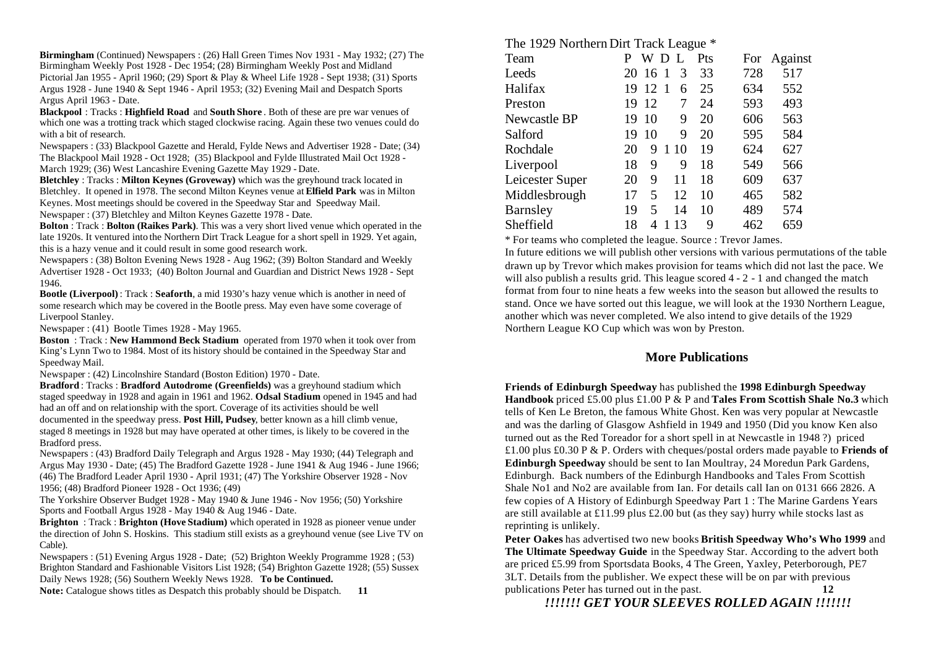**Birmingham** (Continued) Newspapers : (26) Hall Green Times Nov 1931 - May 1932; (27) The Birmingham Weekly Post 1928 - Dec 1954; (28) Birmingham Weekly Post and Midland Pictorial Jan 1955 - April 1960; (29) Sport & Play & Wheel Life 1928 - Sept 1938; (31) Sports Argus 1928 - June 1940 & Sept 1946 - April 1953; (32) Evening Mail and Despatch Sports Argus April 1963 - Date.

**Blackpool** : Tracks : **Highfield Road** and **South Shore** . Both of these are pre war venues of which one was a trotting track which staged clockwise racing. Again these two venues could do with a bit of research.

Newspapers : (33) Blackpool Gazette and Herald, Fylde News and Advertiser 1928 - Date; (34) The Blackpool Mail 1928 - Oct 1928; (35) Blackpool and Fylde Illustrated Mail Oct 1928 - March 1929; (36) West Lancashire Evening Gazette May 1929 - Date.

**Bletchley** : Tracks : **Milton Keynes (Groveway)** which was the greyhound track located in Bletchley. It opened in 1978. The second Milton Keynes venue at **Elfield Park** was in Milton Keynes. Most meetings should be covered in the Speedway Star and Speedway Mail. Newspaper : (37) Bletchley and Milton Keynes Gazette 1978 - Date.

**Bolton** : Track : **Bolton (Raikes Park)**. This was a very short lived venue which operated in the late 1920s. It ventured into the Northern Dirt Track League for a short spell in 1929. Yet again, this is a hazy venue and it could result in some good research work.

Newspapers : (38) Bolton Evening News 1928 - Aug 1962; (39) Bolton Standard and Weekly Advertiser 1928 - Oct 1933; (40) Bolton Journal and Guardian and District News 1928 - Sept 1946.

**Bootle (Liverpool)** : Track : **Seaforth**, a mid 1930's hazy venue which is another in need of some research which may be covered in the Bootle press. May even have some coverage of Liverpool Stanley.

Newspaper : (41) Bootle Times 1928 - May 1965.

**Boston** : Track : **New Hammond Beck Stadium** operated from 1970 when it took over from King's Lynn Two to 1984. Most of its history should be contained in the Speedway Star and Speedway Mail.

Newspaper : (42) Lincolnshire Standard (Boston Edition) 1970 - Date.

**Bradford** : Tracks : **Bradford Autodrome (Greenfields)** was a greyhound stadium which staged speedway in 1928 and again in 1961 and 1962. **Odsal Stadium** opened in 1945 and had had an off and on relationship with the sport. Coverage of its activities should be well documented in the speedway press. **Post Hill, Pudsey**, better known as a hill climb venue, staged 8 meetings in 1928 but may have operated at other times, is likely to be covered in the Bradford press.

Newspapers : (43) Bradford Daily Telegraph and Argus 1928 - May 1930; (44) Telegraph and Argus May 1930 - Date; (45) The Bradford Gazette 1928 - June 1941 & Aug 1946 - June 1966; (46) The Bradford Leader April 1930 - April 1931; (47) The Yorkshire Observer 1928 - Nov 1956; (48) Bradford Pioneer 1928 - Oct 1936; (49)

The Yorkshire Observer Budget 1928 - May 1940 & June 1946 - Nov 1956; (50) Yorkshire Sports and Football Argus 1928 - May 1940 & Aug 1946 - Date.

**Brighton** : Track : **Brighton (Hove Stadium)** which operated in 1928 as pioneer venue under the direction of John S. Hoskins. This stadium still exists as a greyhound venue (see Live TV on Cable).

Newspapers : (51) Evening Argus 1928 - Date; (52) Brighton Weekly Programme 1928 ; (53) Brighton Standard and Fashionable Visitors List 1928; (54) Brighton Gazette 1928; (55) Sussex Daily News 1928; (56) Southern Weekly News 1928. **To be Continued.**

Note: Catalogue shows titles as Despatch this probably should be Dispatch. **11** 

The 1929 Northern Dirt Track League \*

| Team            |    | W  | L                 | P <sub>ts</sub> | For | Against |
|-----------------|----|----|-------------------|-----------------|-----|---------|
| Leeds           | 20 | 16 | 3<br>$\mathbf{1}$ | 33              | 728 | 517     |
| Halifax         | 19 | 12 | 1<br>6            | 25              | 634 | 552     |
| Preston         | 19 | 12 | 7                 | 24              | 593 | 493     |
| Newcastle BP    | 19 | 10 | 9                 | 20              | 606 | 563     |
| Salford         | 19 | 10 | 9                 | 20              | 595 | 584     |
| Rochdale        | 20 | 9  | 1<br>10           | 19              | 624 | 627     |
| Liverpool       | 18 | 9  | 9                 | 18              | 549 | 566     |
| Leicester Super | 20 | 9  | 11                | 18              | 609 | 637     |
| Middlesbrough   | 17 | 5  | 12                | 10              | 465 | 582     |
| <b>Barnsley</b> | 19 | 5  | 14                | 10              | 489 | 574     |
| Sheffield       | 18 | 4  | 13                | 9               | 462 | 659     |

\* For teams who completed the league. Source : Trevor James.

In future editions we will publish other versions with various permutations of the table drawn up by Trevor which makes provision for teams which did not last the pace. We will also publish a results grid. This league scored 4 - 2 - 1 and changed the match format from four to nine heats a few weeks into the season but allowed the results to stand. Once we have sorted out this league, we will look at the 1930 Northern League, another which was never completed. We also intend to give details of the 1929 Northern League KO Cup which was won by Preston.

### **More Publications**

**Friends of Edinburgh Speedway** has published the **1998 Edinburgh Speedway Handbook** priced £5.00 plus £1.00 P & P and **Tales From Scottish Shale No.3** which tells of Ken Le Breton, the famous White Ghost. Ken was very popular at Newcastle and was the darling of Glasgow Ashfield in 1949 and 1950 (Did you know Ken also turned out as the Red Toreador for a short spell in at Newcastle in 1948 ?) priced £1.00 plus £0.30 P & P. Orders with cheques/postal orders made payable to **Friends of Edinburgh Speedway** should be sent to Ian Moultray, 24 Moredun Park Gardens, Edinburgh. Back numbers of the Edinburgh Handbooks and Tales From Scottish Shale No1 and No2 are available from Ian. For details call Ian on 0131 666 2826. A few copies of A History of Edinburgh Speedway Part 1 : The Marine Gardens Years are still available at £11.99 plus £2.00 but (as they say) hurry while stocks last as reprinting is unlikely.

**Peter Oakes** has advertised two new books **British Speedway Who's Who 1999** and **The Ultimate Speedway Guide** in the Speedway Star. According to the advert both are priced £5.99 from Sportsdata Books, 4 The Green, Yaxley, Peterborough, PE7 3LT. Details from the publisher. We expect these will be on par with previous publications Peter has turned out in the past. **12**

*!!!!!!! GET YOUR SLEEVES ROLLED AGAIN !!!!!!!*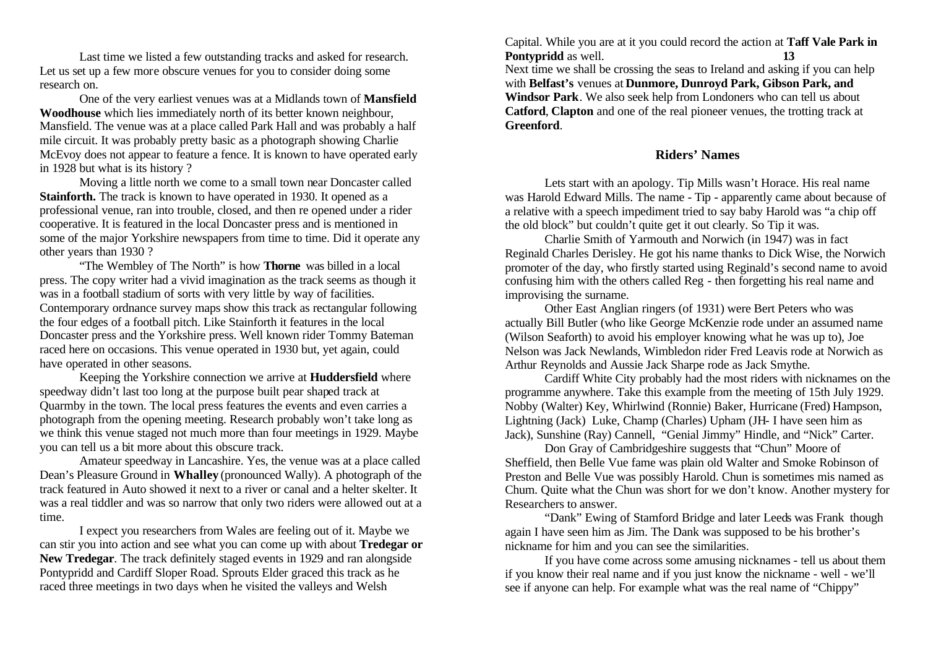Last time we listed a few outstanding tracks and asked for research. Let us set up a few more obscure venues for you to consider doing some research on.

One of the very earliest venues was at a Midlands town of **Mansfield Woodhouse** which lies immediately north of its better known neighbour, Mansfield. The venue was at a place called Park Hall and was probably a half mile circuit. It was probably pretty basic as a photograph showing Charlie McEvoy does not appear to feature a fence. It is known to have operated early in 1928 but what is its history ?

Moving a little north we come to a small town near Doncaster called **Stainforth.** The track is known to have operated in 1930. It opened as a professional venue, ran into trouble, closed, and then re opened under a rider cooperative. It is featured in the local Doncaster press and is mentioned in some of the major Yorkshire newspapers from time to time. Did it operate any other years than 1930 ?

"The Wembley of The North" is how **Thorne** was billed in a local press. The copy writer had a vivid imagination as the track seems as though it was in a football stadium of sorts with very little by way of facilities. Contemporary ordnance survey maps show this track as rectangular following the four edges of a football pitch. Like Stainforth it features in the local Doncaster press and the Yorkshire press. Well known rider Tommy Bateman raced here on occasions. This venue operated in 1930 but, yet again, could have operated in other seasons.

Keeping the Yorkshire connection we arrive at **Huddersfield** where speedway didn't last too long at the purpose built pear shaped track at Quarmby in the town. The local press features the events and even carries a photograph from the opening meeting. Research probably won't take long as we think this venue staged not much more than four meetings in 1929. Maybe you can tell us a bit more about this obscure track.

Amateur speedway in Lancashire. Yes, the venue was at a place called Dean's Pleasure Ground in **Whalley** (pronounced Wally). A photograph of the track featured in Auto showed it next to a river or canal and a helter skelter. It was a real tiddler and was so narrow that only two riders were allowed out at a time.

I expect you researchers from Wales are feeling out of it. Maybe we can stir you into action and see what you can come up with about **Tredegar or New Tredegar**. The track definitely staged events in 1929 and ran alongside Pontypridd and Cardiff Sloper Road. Sprouts Elder graced this track as he raced three meetings in two days when he visited the valleys and Welsh

Capital. While you are at it you could record the action at **Taff Vale Park in Pontypridd** as well. **13** Next time we shall be crossing the seas to Ireland and asking if you can help with **Belfast's** venues at **Dunmore, Dunroyd Park, Gibson Park, and Windsor Park**. We also seek help from Londoners who can tell us about **Catford**, **Clapton** and one of the real pioneer venues, the trotting track at **Greenford**.

### **Riders' Names**

Lets start with an apology. Tip Mills wasn't Horace. His real name was Harold Edward Mills. The name - Tip - apparently came about because of a relative with a speech impediment tried to say baby Harold was "a chip off the old block" but couldn't quite get it out clearly. So Tip it was.

Charlie Smith of Yarmouth and Norwich (in 1947) was in fact Reginald Charles Derisley. He got his name thanks to Dick Wise, the Norwich promoter of the day, who firstly started using Reginald's second name to avoid confusing him with the others called Reg - then forgetting his real name and improvising the surname.

Other East Anglian ringers (of 1931) were Bert Peters who was actually Bill Butler (who like George McKenzie rode under an assumed name (Wilson Seaforth) to avoid his employer knowing what he was up to), Joe Nelson was Jack Newlands, Wimbledon rider Fred Leavis rode at Norwich as Arthur Reynolds and Aussie Jack Sharpe rode as Jack Smythe.

Cardiff White City probably had the most riders with nicknames on the programme anywhere. Take this example from the meeting of 15th July 1929. Nobby (Walter) Key, Whirlwind (Ronnie) Baker, Hurricane (Fred) Hampson, Lightning (Jack) Luke, Champ (Charles) Upham (JH- I have seen him as Jack), Sunshine (Ray) Cannell, "Genial Jimmy" Hindle, and "Nick" Carter.

Don Gray of Cambridgeshire suggests that "Chun" Moore of Sheffield, then Belle Vue fame was plain old Walter and Smoke Robinson of Preston and Belle Vue was possibly Harold. Chun is sometimes mis named as Chum. Quite what the Chun was short for we don't know. Another mystery for Researchers to answer.

"Dank" Ewing of Stamford Bridge and later Leeds was Frank though again I have seen him as Jim. The Dank was supposed to be his brother's nickname for him and you can see the similarities.

If you have come across some amusing nicknames - tell us about them if you know their real name and if you just know the nickname - well - we'll see if anyone can help. For example what was the real name of "Chippy"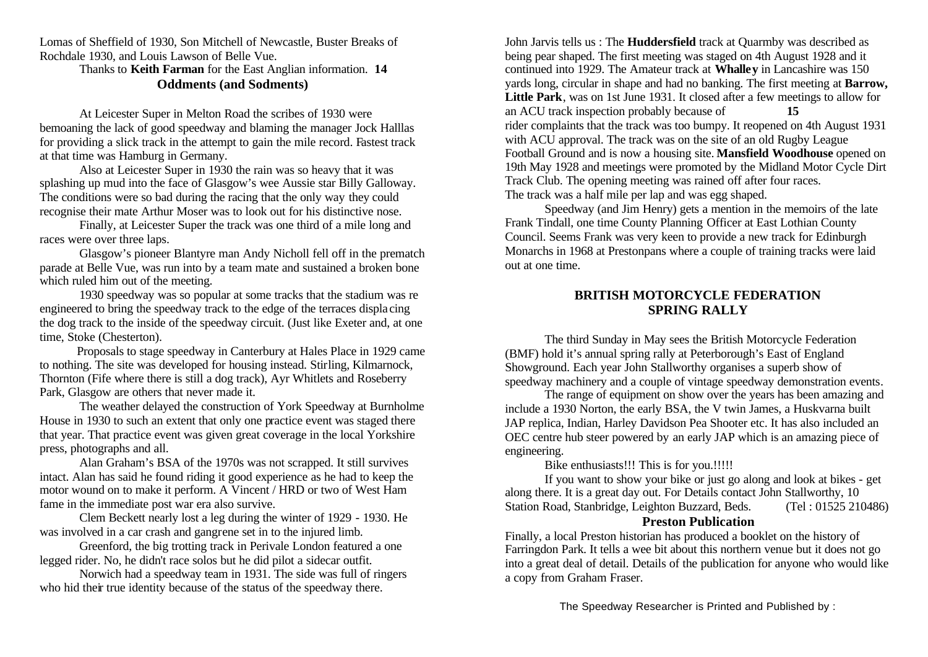Lomas of Sheffield of 1930, Son Mitchell of Newcastle, Buster Breaks of Rochdale 1930, and Louis Lawson of Belle Vue.

Thanks to **Keith Farman** for the East Anglian information. **14 Oddments (and Sodments)**

At Leicester Super in Melton Road the scribes of 1930 were bemoaning the lack of good speedway and blaming the manager Jock Halllas for providing a slick track in the attempt to gain the mile record. Fastest track at that time was Hamburg in Germany.

Also at Leicester Super in 1930 the rain was so heavy that it was splashing up mud into the face of Glasgow's wee Aussie star Billy Galloway. The conditions were so bad during the racing that the only way they could recognise their mate Arthur Moser was to look out for his distinctive nose.

Finally, at Leicester Super the track was one third of a mile long and races were over three laps.

Glasgow's pioneer Blantyre man Andy Nicholl fell off in the prematch parade at Belle Vue, was run into by a team mate and sustained a broken bone which ruled him out of the meeting.

1930 speedway was so popular at some tracks that the stadium was re engineered to bring the speedway track to the edge of the terraces displa cing the dog track to the inside of the speedway circuit. (Just like Exeter and, at one time, Stoke (Chesterton).

 Proposals to stage speedway in Canterbury at Hales Place in 1929 came to nothing. The site was developed for housing instead. Stirling, Kilmarnock, Thornton (Fife where there is still a dog track), Ayr Whitlets and Roseberry Park, Glasgow are others that never made it.

The weather delayed the construction of York Speedway at Burnholme House in 1930 to such an extent that only one practice event was staged there that year. That practice event was given great coverage in the local Yorkshire press, photographs and all.

Alan Graham's BSA of the 1970s was not scrapped. It still survives intact. Alan has said he found riding it good experience as he had to keep the motor wound on to make it perform. A Vincent / HRD or two of West Ham fame in the immediate post war era also survive.

Clem Beckett nearly lost a leg during the winter of 1929 - 1930. He was involved in a car crash and gangrene set in to the injured limb.

Greenford, the big trotting track in Perivale London featured a one legged rider. No, he didn't race solos but he did pilot a sidecar outfit.

Norwich had a speedway team in 1931. The side was full of ringers who hid their true identity because of the status of the speedway there.

John Jarvis tells us : The **Huddersfield** track at Quarmby was described as being pear shaped. The first meeting was staged on 4th August 1928 and it continued into 1929. The Amateur track at **Whalley** in Lancashire was 150 yards long, circular in shape and had no banking. The first meeting at **Barrow, Little Park**, was on 1st June 1931. It closed after a few meetings to allow for an ACU track inspection probably because of **15** rider complaints that the track was too bumpy. It reopened on 4th August 1931 with ACU approval. The track was on the site of an old Rugby League Football Ground and is now a housing site. **Mansfield Woodhouse** opened on 19th May 1928 and meetings were promoted by the Midland Motor Cycle Dirt Track Club. The opening meeting was rained off after four races. The track was a half mile per lap and was egg shaped.

Speedway (and Jim Henry) gets a mention in the memoirs of the late Frank Tindall, one time County Planning Officer at East Lothian County Council. Seems Frank was very keen to provide a new track for Edinburgh Monarchs in 1968 at Prestonpans where a couple of training tracks were laid out at one time.

### **BRITISH MOTORCYCLE FEDERATION SPRING RALLY**

The third Sunday in May sees the British Motorcycle Federation (BMF) hold it's annual spring rally at Peterborough's East of England Showground. Each year John Stallworthy organises a superb show of speedway machinery and a couple of vintage speedway demonstration events.

The range of equipment on show over the years has been amazing and include a 1930 Norton, the early BSA, the V twin James, a Huskvarna built JAP replica, Indian, Harley Davidson Pea Shooter etc. It has also included an OEC centre hub steer powered by an early JAP which is an amazing piece of engineering.

Bike enthusiasts!!! This is for you.!!!!!

If you want to show your bike or just go along and look at bikes - get along there. It is a great day out. For Details contact John Stallworthy, 10 Station Road, Stanbridge, Leighton Buzzard, Beds. (Tel: 01525 210486)

### **Preston Publication**

Finally, a local Preston historian has produced a booklet on the history of Farringdon Park. It tells a wee bit about this northern venue but it does not go into a great deal of detail. Details of the publication for anyone who would like a copy from Graham Fraser.